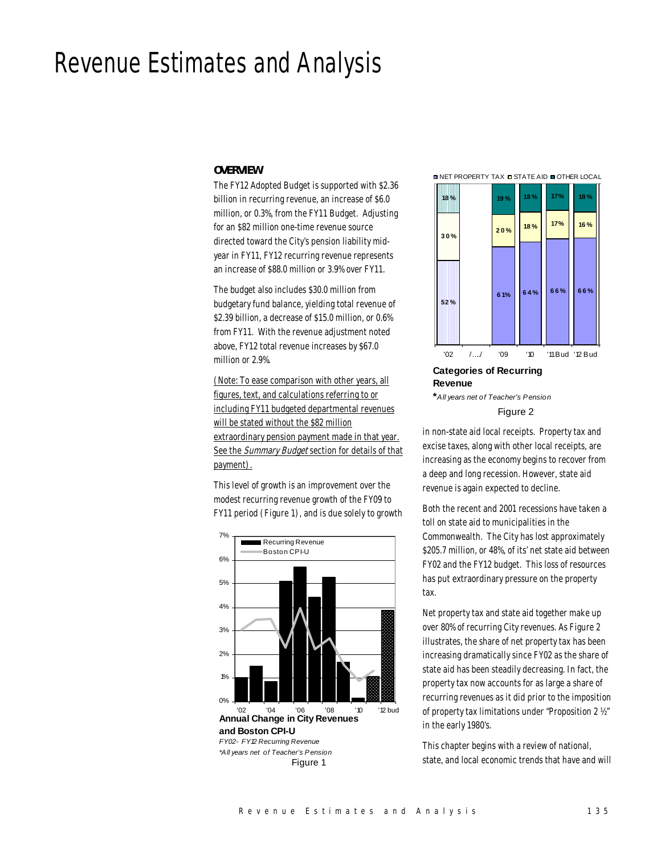# Revenue Estimates and Analysis

# *OVERVIEW*

The FY12 Adopted Budget is supported with \$2.36 billion in recurring revenue, an increase of \$6.0 million, or 0.3%, from the FY11 Budget. Adjusting for an \$82 million one-time revenue source directed toward the City's pension liability midyear in FY11, FY12 recurring revenue represents an increase of \$88.0 million or 3.9% over FY11.

The budget also includes \$30.0 million from budgetary fund balance, yielding total revenue of \$2.39 billion, a decrease of \$15.0 million, or 0.6% from FY11. With the revenue adjustment noted above, FY12 total revenue increases by \$67.0 million or 2.9%.

(Note: To ease comparison with other years, all figures, text, and calculations referring to or including FY11 budgeted departmental revenues will be stated without the \$82 million extraordinary pension payment made in that year. See the Summary Budget section for details of that payment).

This level of growth is an improvement over the modest recurring revenue growth of the FY09 to FY11 period (Figure 1), and is due solely to growth



**and Boston CPI-U** *FY02- FY12 Recurring Revenue \*All years net of Teacher's Pension*

Figure 1

**□ NET PROPERTY TAX □ STATE AID ■ OTHER LOCAL** 



**Categories of Recurring Revenue \****All years net of Teacher's Pension*

Figure 2

in non-state aid local receipts. Property tax and excise taxes, along with other local receipts, are increasing as the economy begins to recover from a deep and long recession. However, state aid revenue is again expected to decline.

Both the recent and 2001 recessions have taken a toll on state aid to municipalities in the Commonwealth. The City has lost approximately \$205.7 million, or 48%, of its' net state aid between FY02 and the FY12 budget. This loss of resources has put extraordinary pressure on the property tax.

Net property tax and state aid together make up over 80% of recurring City revenues. As Figure 2 illustrates, the share of net property tax has been increasing dramatically since FY02 as the share of state aid has been steadily decreasing. In fact, the property tax now accounts for as large a share of recurring revenues as it did prior to the imposition of property tax limitations under "Proposition 2 ½" in the early 1980's.

This chapter begins with a review of national, state, and local economic trends that have and will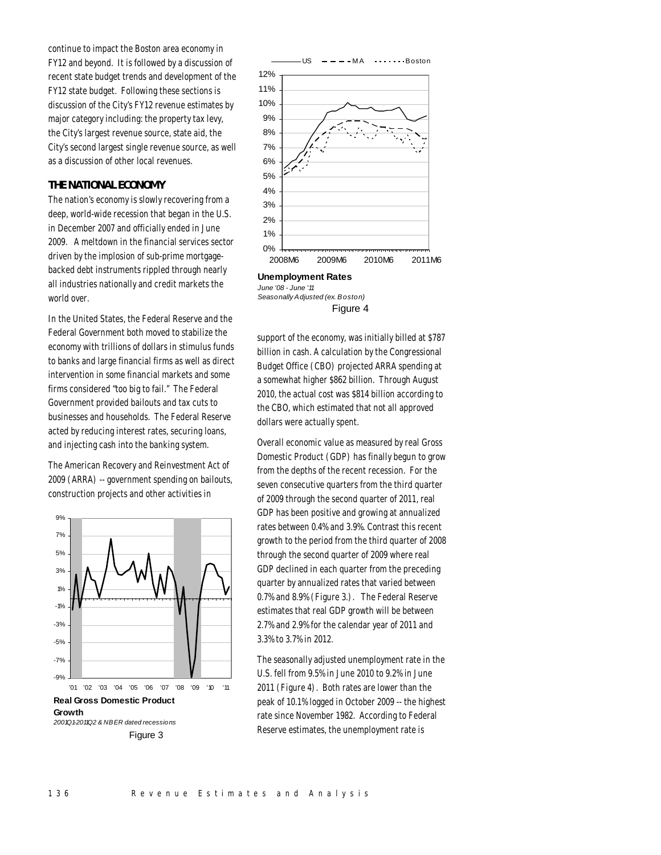continue to impact the Boston area economy in FY12 and beyond. It is followed by a discussion of recent state budget trends and development of the FY12 state budget. Following these sections is discussion of the City's FY12 revenue estimates by major category including: the property tax levy, the City's largest revenue source, state aid, the City's second largest single revenue source, as well as a discussion of other local revenues.

# *THE NATIONAL ECONOMY*

The nation's economy is slowly recovering from a deep, world-wide recession that began in the U.S. in December 2007 and officially ended in June 2009. A meltdown in the financial services sector driven by the implosion of sub-prime mortgagebacked debt instruments rippled through nearly all industries nationally and credit markets the world over.

In the United States, the Federal Reserve and the Federal Government both moved to stabilize the economy with trillions of dollars in stimulus funds to banks and large financial firms as well as direct intervention in some financial markets and some firms considered "too big to fail." The Federal Government provided bailouts and tax cuts to businesses and households. The Federal Reserve acted by reducing interest rates, securing loans, and injecting cash into the banking system.

The American Recovery and Reinvestment Act of 2009 (ARRA) -- government spending on bailouts, construction projects and other activities in



Figure 3



**Unemployment Rates** *June '08 - June '11 Seasonally Adjusted (ex. Boston)* Figure 4

support of the economy, was initially billed at \$787 billion in cash. A calculation by the Congressional Budget Office (CBO) projected ARRA spending at a somewhat higher \$862 billion. Through August 2010, the actual cost was \$814 billion according to the CBO, which estimated that not all approved dollars were actually spent.

Overall economic value as measured by real Gross Domestic Product (GDP) has finally begun to grow from the depths of the recent recession. For the seven consecutive quarters from the third quarter of 2009 through the second quarter of 2011, real GDP has been positive and growing at annualized rates between 0.4% and 3.9%. Contrast this recent growth to the period from the third quarter of 2008 through the second quarter of 2009 where real GDP declined in each quarter from the preceding quarter by annualized rates that varied between 0.7% and 8.9% (Figure 3.). The Federal Reserve estimates that real GDP growth will be between 2.7% and 2.9% for the calendar year of 2011 and 3.3% to 3.7% in 2012.

The seasonally adjusted unemployment rate in the U.S. fell from 9.5% in June 2010 to 9.2% in June 2011 (Figure 4). Both rates are lower than the peak of 10.1% logged in October 2009 -- the highest rate since November 1982. According to Federal Reserve estimates, the unemployment rate is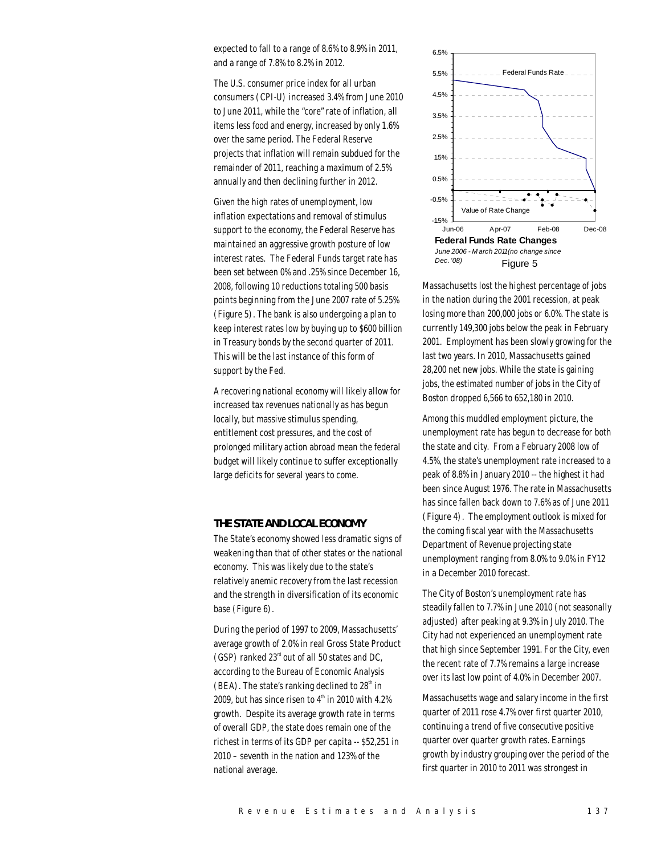expected to fall to a range of 8.6% to 8.9% in 2011, and a range of 7.8% to 8.2% in 2012.

The U.S. consumer price index for all urban consumers (CPI-U) increased 3.4% from June 2010 to June 2011, while the "core" rate of inflation, all items less food and energy, increased by only 1.6% over the same period. The Federal Reserve projects that inflation will remain subdued for the remainder of 2011, reaching a maximum of 2.5% annually and then declining further in 2012.

Given the high rates of unemployment, low inflation expectations and removal of stimulus support to the economy, the Federal Reserve has maintained an aggressive growth posture of low interest rates. The Federal Funds target rate has been set between 0% and .25% since December 16, 2008, following 10 reductions totaling 500 basis points beginning from the June 2007 rate of 5.25% (Figure 5). The bank is also undergoing a plan to keep interest rates low by buying up to \$600 billion in Treasury bonds by the second quarter of 2011. This will be the last instance of this form of support by the Fed.

A recovering national economy will likely allow for increased tax revenues nationally as has begun locally, but massive stimulus spending, entitlement cost pressures, and the cost of prolonged military action abroad mean the federal budget will likely continue to suffer exceptionally large deficits for several years to come.

# *THE STATE AND LOCAL ECONOMY*

The State's economy showed less dramatic signs of weakening than that of other states or the national economy. This was likely due to the state's relatively anemic recovery from the last recession and the strength in diversification of its economic base (Figure 6).

During the period of 1997 to 2009, Massachusetts' average growth of 2.0% in real Gross State Product (GSP) ranked  $23<sup>rd</sup>$  out of all 50 states and DC, according to the Bureau of Economic Analysis (BEA). The state's ranking declined to  $28<sup>th</sup>$  in 2009, but has since risen to  $4^{\text{th}}$  in 2010 with 4.2% growth. Despite its average growth rate in terms of overall GDP, the state does remain one of the richest in terms of its GDP per capita -- \$52,251 in 2010 – seventh in the nation and 123% of the national average.



Massachusetts lost the highest percentage of jobs in the nation during the 2001 recession, at peak losing more than 200,000 jobs or 6.0%. The state is currently 149,300 jobs below the peak in February 2001. Employment has been slowly growing for the last two years. In 2010, Massachusetts gained 28,200 net new jobs. While the state is gaining jobs, the estimated number of jobs in the City of Boston dropped 6,566 to 652,180 in 2010.

Among this muddled employment picture, the unemployment rate has begun to decrease for both the state and city. From a February 2008 low of 4.5%, the state's unemployment rate increased to a peak of 8.8% in January 2010 -- the highest it had been since August 1976. The rate in Massachusetts has since fallen back down to 7.6% as of June 2011 (Figure 4). The employment outlook is mixed for the coming fiscal year with the Massachusetts Department of Revenue projecting state unemployment ranging from 8.0% to 9.0% in FY12 in a December 2010 forecast.

The City of Boston's unemployment rate has steadily fallen to 7.7% in June 2010 (not seasonally adjusted) after peaking at 9.3% in July 2010. The City had not experienced an unemployment rate that high since September 1991. For the City, even the recent rate of 7.7% remains a large increase over its last low point of 4.0% in December 2007.

Massachusetts wage and salary income in the first quarter of 2011 rose 4.7% over first quarter 2010, continuing a trend of five consecutive positive quarter over quarter growth rates. Earnings growth by industry grouping over the period of the first quarter in 2010 to 2011 was strongest in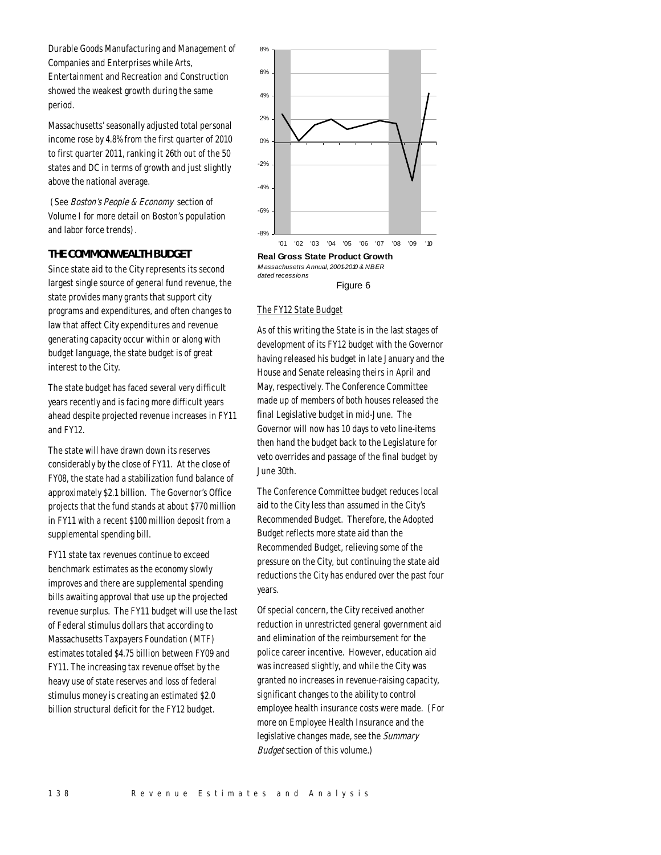Durable Goods Manufacturing and Management of Companies and Enterprises while Arts, Entertainment and Recreation and Construction showed the weakest growth during the same period.

Massachusetts' seasonally adjusted total personal income rose by 4.8% from the first quarter of 2010 to first quarter 2011, ranking it 26th out of the 50 states and DC in terms of growth and just slightly above the national average.

 (See Boston's People & Economy section of Volume I for more detail on Boston's population and labor force trends).

# *THE COMMONWEALTH BUDGET*

Since state aid to the City represents its second largest single source of general fund revenue, the state provides many grants that support city programs and expenditures, and often changes to law that affect City expenditures and revenue generating capacity occur within or along with budget language, the state budget is of great interest to the City.

The state budget has faced several very difficult years recently and is facing more difficult years ahead despite projected revenue increases in FY11 and FY12.

The state will have drawn down its reserves considerably by the close of FY11. At the close of FY08, the state had a stabilization fund balance of approximately \$2.1 billion. The Governor's Office projects that the fund stands at about \$770 million in FY11 with a recent \$100 million deposit from a supplemental spending bill.

FY11 state tax revenues continue to exceed benchmark estimates as the economy slowly improves and there are supplemental spending bills awaiting approval that use up the projected revenue surplus. The FY11 budget will use the last of Federal stimulus dollars that according to Massachusetts Taxpayers Foundation (MTF) estimates totaled \$4.75 billion between FY09 and FY11. The increasing tax revenue offset by the heavy use of state reserves and loss of federal stimulus money is creating an estimated \$2.0 billion structural deficit for the FY12 budget.



*M assachusetts Annual, 2001-2010 & NBER dated recessions* Figure 6

# The FY12 State Budget

As of this writing the State is in the last stages of development of its FY12 budget with the Governor having released his budget in late January and the House and Senate releasing theirs in April and May, respectively. The Conference Committee made up of members of both houses released the final Legislative budget in mid-June. The Governor will now has 10 days to veto line-items then hand the budget back to the Legislature for veto overrides and passage of the final budget by June 30th.

The Conference Committee budget reduces local aid to the City less than assumed in the City's Recommended Budget. Therefore, the Adopted Budget reflects more state aid than the Recommended Budget, relieving some of the pressure on the City, but continuing the state aid reductions the City has endured over the past four years.

Of special concern, the City received another reduction in unrestricted general government aid and elimination of the reimbursement for the police career incentive. However, education aid was increased slightly, and while the City was granted no increases in revenue-raising capacity, significant changes to the ability to control employee health insurance costs were made. (For more on Employee Health Insurance and the legislative changes made, see the Summary Budget section of this volume.)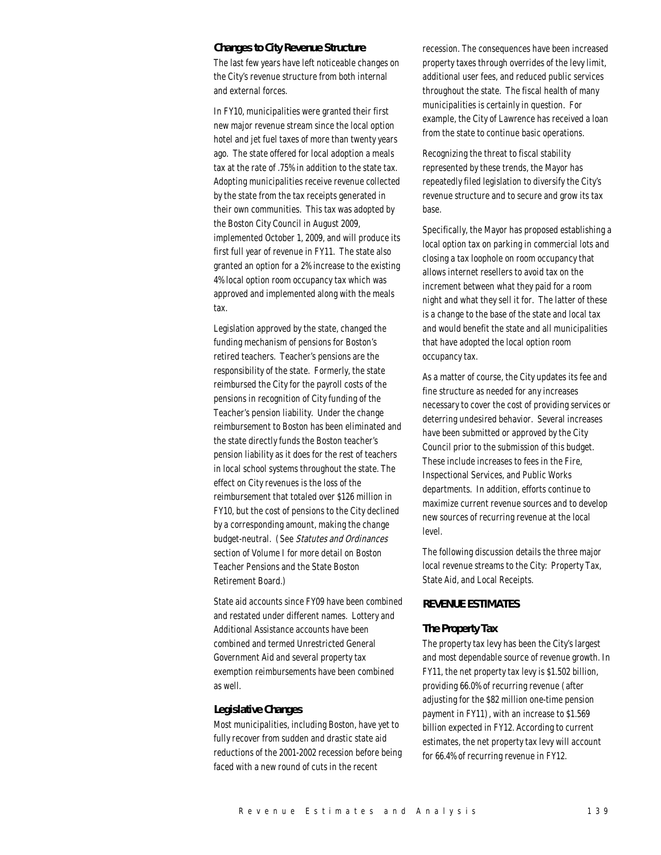# *Changes to City Revenue Structure*

The last few years have left noticeable changes on the City's revenue structure from both internal and external forces.

In FY10, municipalities were granted their first new major revenue stream since the local option hotel and jet fuel taxes of more than twenty years ago. The state offered for local adoption a meals tax at the rate of .75% in addition to the state tax. Adopting municipalities receive revenue collected by the state from the tax receipts generated in their own communities. This tax was adopted by the Boston City Council in August 2009, implemented October 1, 2009, and will produce its first full year of revenue in FY11. The state also granted an option for a 2% increase to the existing 4% local option room occupancy tax which was approved and implemented along with the meals tax.

Legislation approved by the state, changed the funding mechanism of pensions for Boston's retired teachers. Teacher's pensions are the responsibility of the state. Formerly, the state reimbursed the City for the payroll costs of the pensions in recognition of City funding of the Teacher's pension liability. Under the change reimbursement to Boston has been eliminated and the state directly funds the Boston teacher's pension liability as it does for the rest of teachers in local school systems throughout the state. The effect on City revenues is the loss of the reimbursement that totaled over \$126 million in FY10, but the cost of pensions to the City declined by a corresponding amount, making the change budget-neutral. (See Statutes and Ordinances section of Volume I for more detail on Boston Teacher Pensions and the State Boston Retirement Board.)

State aid accounts since FY09 have been combined and restated under different names. Lottery and Additional Assistance accounts have been combined and termed Unrestricted General Government Aid and several property tax exemption reimbursements have been combined as well.

# *Legislative Changes*

Most municipalities, including Boston, have yet to fully recover from sudden and drastic state aid reductions of the 2001-2002 recession before being faced with a new round of cuts in the recent

recession. The consequences have been increased property taxes through overrides of the levy limit, additional user fees, and reduced public services throughout the state. The fiscal health of many municipalities is certainly in question. For example, the City of Lawrence has received a loan from the state to continue basic operations.

Recognizing the threat to fiscal stability represented by these trends, the Mayor has repeatedly filed legislation to diversify the City's revenue structure and to secure and grow its tax base.

Specifically, the Mayor has proposed establishing a local option tax on parking in commercial lots and closing a tax loophole on room occupancy that allows internet resellers to avoid tax on the increment between what they paid for a room night and what they sell it for. The latter of these is a change to the base of the state and local tax and would benefit the state and all municipalities that have adopted the local option room occupancy tax.

As a matter of course, the City updates its fee and fine structure as needed for any increases necessary to cover the cost of providing services or deterring undesired behavior. Several increases have been submitted or approved by the City Council prior to the submission of this budget. These include increases to fees in the Fire, Inspectional Services, and Public Works departments. In addition, efforts continue to maximize current revenue sources and to develop new sources of recurring revenue at the local level.

The following discussion details the three major local revenue streams to the City: Property Tax, State Aid, and Local Receipts.

# *REVENUE ESTIMATES*

#### *The Property Tax*

The property tax levy has been the City's largest and most dependable source of revenue growth. In FY11, the net property tax levy is \$1.502 billion, providing 66.0% of recurring revenue (after adjusting for the \$82 million one-time pension payment in FY11), with an increase to \$1.569 billion expected in FY12. According to current estimates, the net property tax levy will account for 66.4% of recurring revenue in FY12.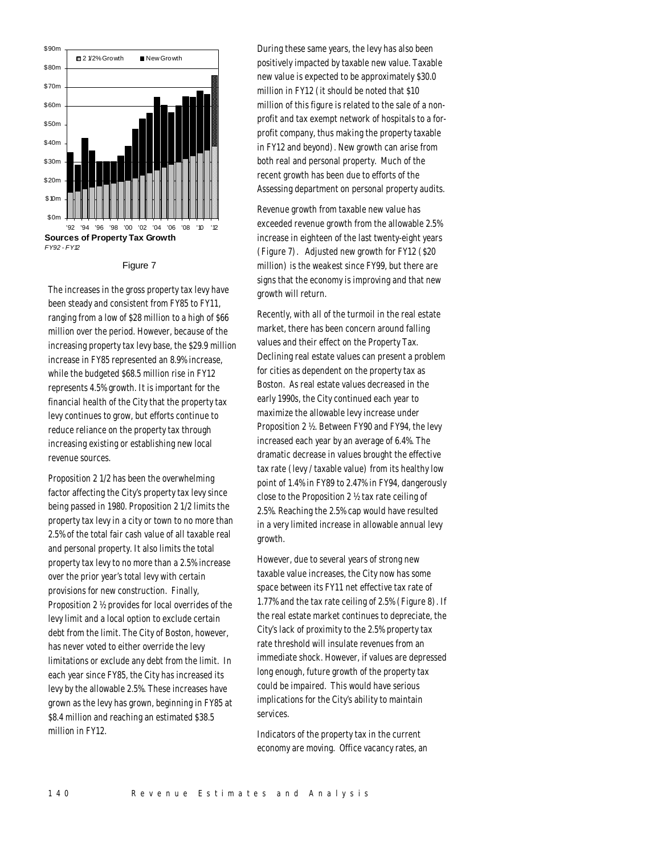

#### Figure 7

The increases in the gross property tax levy have been steady and consistent from FY85 to FY11, ranging from a low of \$28 million to a high of \$66 million over the period. However, because of the increasing property tax levy base, the \$29.9 million increase in FY85 represented an 8.9% increase, while the budgeted \$68.5 million rise in FY12 represents 4.5% growth. It is important for the financial health of the City that the property tax levy continues to grow, but efforts continue to reduce reliance on the property tax through increasing existing or establishing new local revenue sources.

Proposition 2 1/2 has been the overwhelming factor affecting the City's property tax levy since being passed in 1980. Proposition 2 1/2 limits the property tax levy in a city or town to no more than 2.5% of the total fair cash value of all taxable real and personal property. It also limits the total property tax levy to no more than a 2.5% increase over the prior year's total levy with certain provisions for new construction. Finally, Proposition 2 ½ provides for local overrides of the levy limit and a local option to exclude certain debt from the limit. The City of Boston, however, has never voted to either override the levy limitations or exclude any debt from the limit. In each year since FY85, the City has increased its levy by the allowable 2.5%. These increases have grown as the levy has grown, beginning in FY85 at \$8.4 million and reaching an estimated \$38.5 million in FY12.

During these same years, the levy has also been positively impacted by taxable new value. Taxable new value is expected to be approximately \$30.0 million in FY12 (it should be noted that \$10 million of this figure is related to the sale of a nonprofit and tax exempt network of hospitals to a forprofit company, thus making the property taxable in FY12 and beyond). New growth can arise from both real and personal property. Much of the recent growth has been due to efforts of the Assessing department on personal property audits.

Revenue growth from taxable new value has exceeded revenue growth from the allowable 2.5% increase in eighteen of the last twenty-eight years (Figure 7). Adjusted new growth for FY12 (\$20 million) is the weakest since FY99, but there are signs that the economy is improving and that new growth will return.

Recently, with all of the turmoil in the real estate market, there has been concern around falling values and their effect on the Property Tax. Declining real estate values can present a problem for cities as dependent on the property tax as Boston. As real estate values decreased in the early 1990s, the City continued each year to maximize the allowable levy increase under Proposition 2 ½. Between FY90 and FY94, the levy increased each year by an average of 6.4%. The dramatic decrease in values brought the effective tax rate (levy / taxable value) from its healthy low point of 1.4% in FY89 to 2.47% in FY94, dangerously close to the Proposition 2 ½ tax rate ceiling of 2.5%. Reaching the 2.5% cap would have resulted in a very limited increase in allowable annual levy growth.

However, due to several years of strong new taxable value increases, the City now has some space between its FY11 net effective tax rate of 1.77% and the tax rate ceiling of 2.5% (Figure 8). If the real estate market continues to depreciate, the City's lack of proximity to the 2.5% property tax rate threshold will insulate revenues from an immediate shock. However, if values are depressed long enough, future growth of the property tax could be impaired. This would have serious implications for the City's ability to maintain services.

Indicators of the property tax in the current economy are moving. Office vacancy rates, an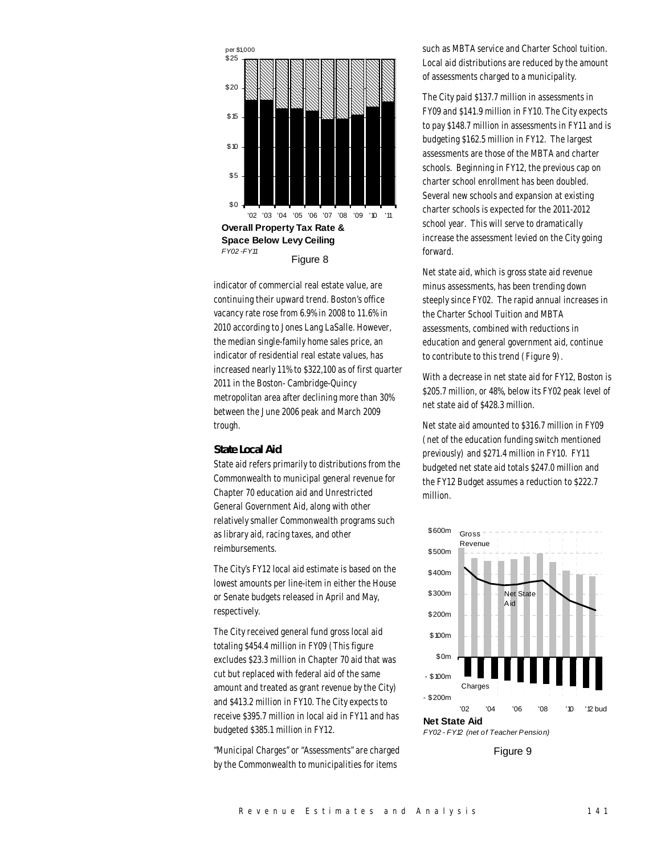

indicator of commercial real estate value, are continuing their upward trend. Boston's office vacancy rate rose from 6.9% in 2008 to 11.6% in 2010 according to Jones Lang LaSalle. However, the median single-family home sales price, an indicator of residential real estate values, has increased nearly 11% to \$322,100 as of first quarter 2011 in the Boston- Cambridge-Quincy metropolitan area after declining more than 30% between the June 2006 peak and March 2009 trough.

#### *State Local Aid*

State aid refers primarily to distributions from the Commonwealth to municipal general revenue for Chapter 70 education aid and Unrestricted General Government Aid, along with other relatively smaller Commonwealth programs such as library aid, racing taxes, and other reimbursements.

The City's FY12 local aid estimate is based on the lowest amounts per line-item in either the House or Senate budgets released in April and May, respectively.

The City received general fund gross local aid totaling \$454.4 million in FY09 (This figure excludes \$23.3 million in Chapter 70 aid that was cut but replaced with federal aid of the same amount and treated as grant revenue by the City) and \$413.2 million in FY10. The City expects to receive \$395.7 million in local aid in FY11 and has budgeted \$385.1 million in FY12.

"Municipal Charges" or "Assessments" are charged by the Commonwealth to municipalities for items

such as MBTA service and Charter School tuition. Local aid distributions are reduced by the amount of assessments charged to a municipality.

The City paid \$137.7 million in assessments in FY09 and \$141.9 million in FY10. The City expects to pay \$148.7 million in assessments in FY11 and is budgeting \$162.5 million in FY12. The largest assessments are those of the MBTA and charter schools. Beginning in FY12, the previous cap on charter school enrollment has been doubled. Several new schools and expansion at existing charter schools is expected for the 2011-2012 school year. This will serve to dramatically increase the assessment levied on the City going forward.

Net state aid, which is gross state aid revenue minus assessments, has been trending down steeply since FY02. The rapid annual increases in the Charter School Tuition and MBTA assessments, combined with reductions in education and general government aid, continue to contribute to this trend (Figure 9).

With a decrease in net state aid for FY12, Boston is \$205.7 million, or 48%, below its FY02 peak level of net state aid of \$428.3 million.

Net state aid amounted to \$316.7 million in FY09 (net of the education funding switch mentioned previously) and \$271.4 million in FY10. FY11 budgeted net state aid totals \$247.0 million and the FY12 Budget assumes a reduction to \$222.7 million.



*FY02 - FY12 (net of Teacher Pension)* 

Figure 9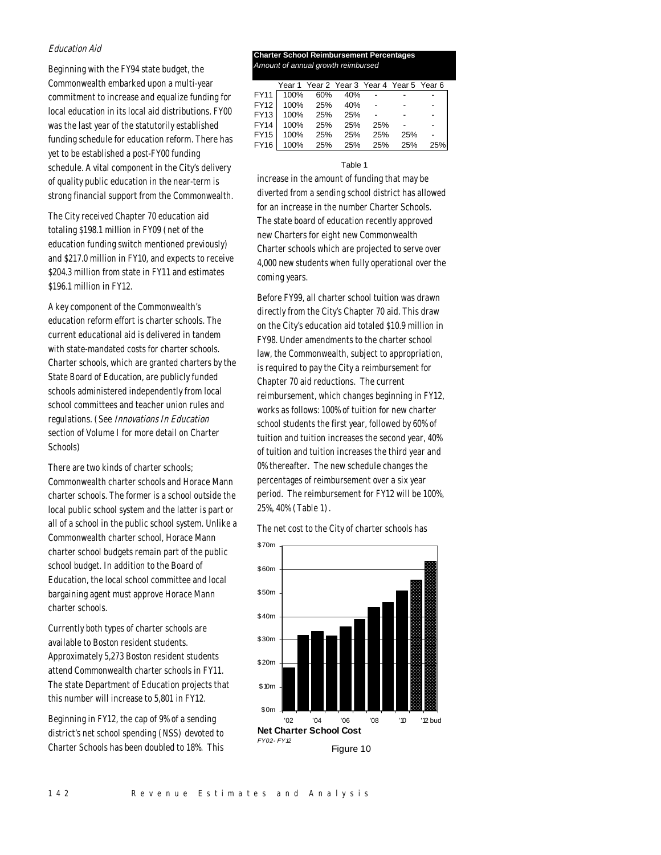# Education Aid

Beginning with the FY94 state budget, the Commonwealth embarked upon a multi-year commitment to increase and equalize funding for local education in its local aid distributions. FY00 was the last year of the statutorily established funding schedule for education reform. There has yet to be established a post-FY00 funding schedule. A vital component in the City's delivery of quality public education in the near-term is strong financial support from the Commonwealth.

The City received Chapter 70 education aid totaling \$198.1 million in FY09 (net of the education funding switch mentioned previously) and \$217.0 million in FY10, and expects to receive \$204.3 million from state in FY11 and estimates \$196.1 million in FY12.

A key component of the Commonwealth's education reform effort is charter schools. The current educational aid is delivered in tandem with state-mandated costs for charter schools. Charter schools, which are granted charters by the State Board of Education, are publicly funded schools administered independently from local school committees and teacher union rules and regulations. (See Innovations In Education section of Volume I for more detail on Charter Schools)

There are two kinds of charter schools; Commonwealth charter schools and Horace Mann charter schools. The former is a school outside the local public school system and the latter is part or all of a school in the public school system. Unlike a Commonwealth charter school, Horace Mann charter school budgets remain part of the public school budget. In addition to the Board of Education, the local school committee and local bargaining agent must approve Horace Mann charter schools.

Currently both types of charter schools are available to Boston resident students. Approximately 5,273 Boston resident students attend Commonwealth charter schools in FY11. The state Department of Education projects that this number will increase to 5,801 in FY12.

Beginning in FY12, the cap of 9% of a sending district's net school spending (NSS) devoted to Charter Schools has been doubled to 18%. This

# **Charter School Reimbursement Percentages** *Amount of annual growth reimbursed*

|             |      | Year 1 Year 2 Year 3 Year 4 Year 5 Year 6 |         |     |     |     |
|-------------|------|-------------------------------------------|---------|-----|-----|-----|
| <b>FY11</b> |      | 100% 60%                                  | 40%     |     |     |     |
| <b>FY12</b> |      | 100% 25%                                  | 40%     |     |     |     |
| FY13        | 100% | 25%                                       | 25%     |     |     |     |
| <b>FY14</b> | 100% | 25%                                       | 25%     | 25% |     |     |
| <b>FY15</b> | 100% |                                           | 25% 25% | 25% | 25% |     |
| <b>FY16</b> | 100% |                                           | 25% 25% | 25% | 25% | 25% |

#### Table 1

increase in the amount of funding that may be diverted from a sending school district has allowed for an increase in the number Charter Schools. The state board of education recently approved new Charters for eight new Commonwealth Charter schools which are projected to serve over 4,000 new students when fully operational over the coming years.

Before FY99, all charter school tuition was drawn directly from the City's Chapter 70 aid. This draw on the City's education aid totaled \$10.9 million in FY98. Under amendments to the charter school law, the Commonwealth, subject to appropriation, is required to pay the City a reimbursement for Chapter 70 aid reductions. The current reimbursement, which changes beginning in FY12, works as follows: 100% of tuition for new charter school students the first year, followed by 60% of tuition and tuition increases the second year, 40% of tuition and tuition increases the third year and 0% thereafter. The new schedule changes the percentages of reimbursement over a six year period. The reimbursement for FY12 will be 100%, 25%, 40% (Table 1).

The net cost to the City of charter schools has

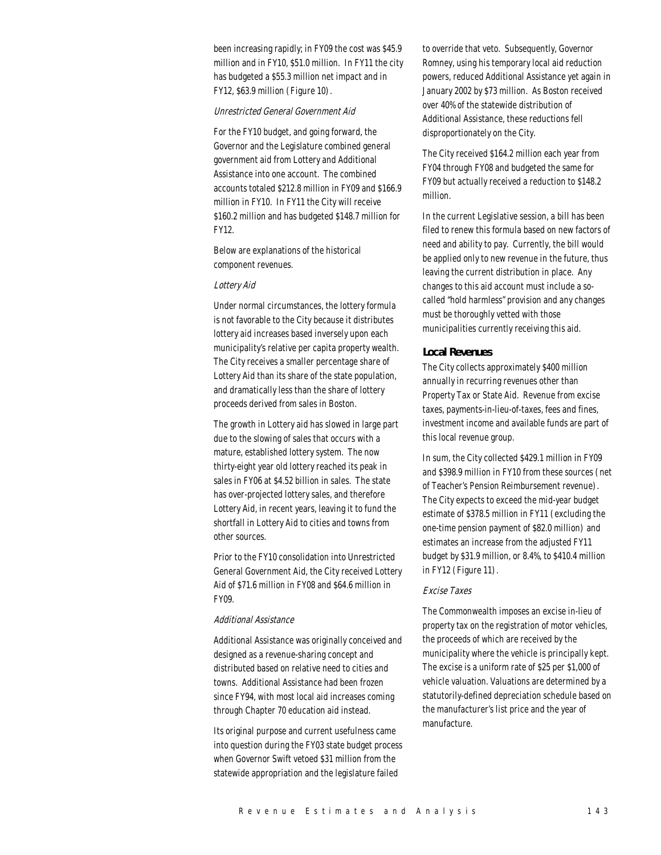been increasing rapidly; in FY09 the cost was \$45.9 million and in FY10, \$51.0 million. In FY11 the city has budgeted a \$55.3 million net impact and in FY12, \$63.9 million (Figure 10).

# Unrestricted General Government Aid

For the FY10 budget, and going forward, the Governor and the Legislature combined general government aid from Lottery and Additional Assistance into one account. The combined accounts totaled \$212.8 million in FY09 and \$166.9 million in FY10. In FY11 the City will receive \$160.2 million and has budgeted \$148.7 million for FY12.

Below are explanations of the historical component revenues.

# Lottery Aid

Under normal circumstances, the lottery formula is not favorable to the City because it distributes lottery aid increases based inversely upon each municipality's relative per capita property wealth. The City receives a smaller percentage share of Lottery Aid than its share of the state population, and dramatically less than the share of lottery proceeds derived from sales in Boston.

The growth in Lottery aid has slowed in large part due to the slowing of sales that occurs with a mature, established lottery system. The now thirty-eight year old lottery reached its peak in sales in FY06 at \$4.52 billion in sales. The state has over-projected lottery sales, and therefore Lottery Aid, in recent years, leaving it to fund the shortfall in Lottery Aid to cities and towns from other sources.

Prior to the FY10 consolidation into Unrestricted General Government Aid, the City received Lottery Aid of \$71.6 million in FY08 and \$64.6 million in FY09.

#### Additional Assistance

Additional Assistance was originally conceived and designed as a revenue-sharing concept and distributed based on relative need to cities and towns. Additional Assistance had been frozen since FY94, with most local aid increases coming through Chapter 70 education aid instead.

Its original purpose and current usefulness came into question during the FY03 state budget process when Governor Swift vetoed \$31 million from the statewide appropriation and the legislature failed

to override that veto. Subsequently, Governor Romney, using his temporary local aid reduction powers, reduced Additional Assistance yet again in January 2002 by \$73 million. As Boston received over 40% of the statewide distribution of Additional Assistance, these reductions fell disproportionately on the City.

The City received \$164.2 million each year from FY04 through FY08 and budgeted the same for FY09 but actually received a reduction to \$148.2 million.

In the current Legislative session, a bill has been filed to renew this formula based on new factors of need and ability to pay. Currently, the bill would be applied only to new revenue in the future, thus leaving the current distribution in place. Any changes to this aid account must include a socalled "hold harmless" provision and any changes must be thoroughly vetted with those municipalities currently receiving this aid.

# *Local Revenues*

The City collects approximately \$400 million annually in recurring revenues other than Property Tax or State Aid. Revenue from excise taxes, payments-in-lieu-of-taxes, fees and fines, investment income and available funds are part of this local revenue group.

In sum, the City collected \$429.1 million in FY09 and \$398.9 million in FY10 from these sources (net of Teacher's Pension Reimbursement revenue). The City expects to exceed the mid-year budget estimate of \$378.5 million in FY11 (excluding the one-time pension payment of \$82.0 million) and estimates an increase from the adjusted FY11 budget by \$31.9 million, or 8.4%, to \$410.4 million in FY12 (Figure 11).

# Excise Taxes

The Commonwealth imposes an excise in-lieu of property tax on the registration of motor vehicles, the proceeds of which are received by the municipality where the vehicle is principally kept. The excise is a uniform rate of \$25 per \$1,000 of vehicle valuation. Valuations are determined by a statutorily-defined depreciation schedule based on the manufacturer's list price and the year of manufacture.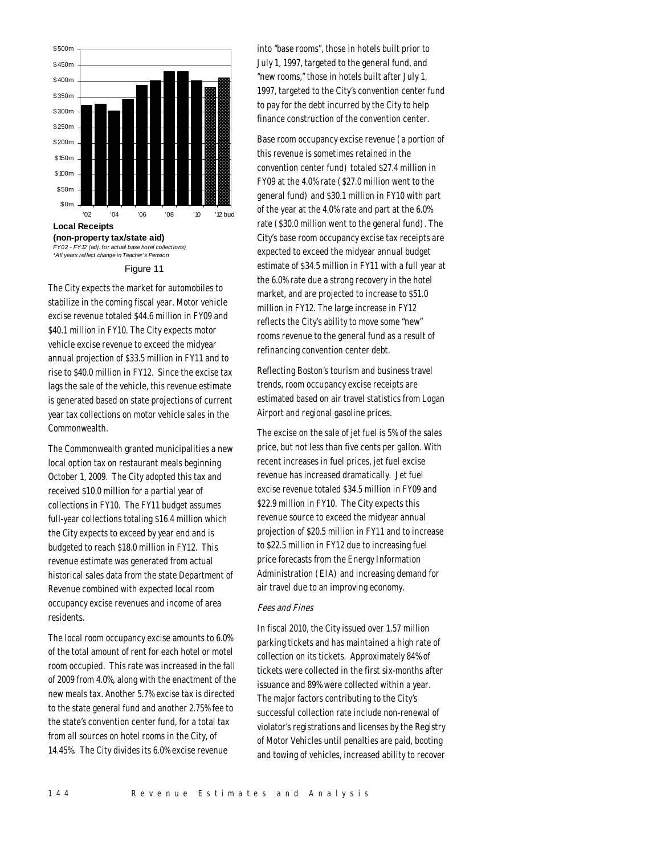

#### Figure 11

The City expects the market for automobiles to stabilize in the coming fiscal year. Motor vehicle excise revenue totaled \$44.6 million in FY09 and \$40.1 million in FY10. The City expects motor vehicle excise revenue to exceed the midyear annual projection of \$33.5 million in FY11 and to rise to \$40.0 million in FY12. Since the excise tax lags the sale of the vehicle, this revenue estimate is generated based on state projections of current year tax collections on motor vehicle sales in the Commonwealth.

The Commonwealth granted municipalities a new local option tax on restaurant meals beginning October 1, 2009. The City adopted this tax and received \$10.0 million for a partial year of collections in FY10. The FY11 budget assumes full-year collections totaling \$16.4 million which the City expects to exceed by year end and is budgeted to reach \$18.0 million in FY12. This revenue estimate was generated from actual historical sales data from the state Department of Revenue combined with expected local room occupancy excise revenues and income of area residents.

The local room occupancy excise amounts to 6.0% of the total amount of rent for each hotel or motel room occupied. This rate was increased in the fall of 2009 from 4.0%, along with the enactment of the new meals tax. Another 5.7% excise tax is directed to the state general fund and another 2.75% fee to the state's convention center fund, for a total tax from all sources on hotel rooms in the City, of 14.45%. The City divides its 6.0% excise revenue

into "base rooms", those in hotels built prior to July 1, 1997, targeted to the general fund, and "new rooms," those in hotels built after July 1, 1997, targeted to the City's convention center fund to pay for the debt incurred by the City to help finance construction of the convention center.

Base room occupancy excise revenue (a portion of this revenue is sometimes retained in the convention center fund) totaled \$27.4 million in FY09 at the 4.0% rate (\$27.0 million went to the general fund) and \$30.1 million in FY10 with part of the year at the 4.0% rate and part at the 6.0% rate (\$30.0 million went to the general fund). The City's base room occupancy excise tax receipts are expected to exceed the midyear annual budget estimate of \$34.5 million in FY11 with a full year at the 6.0% rate due a strong recovery in the hotel market, and are projected to increase to \$51.0 million in FY12. The large increase in FY12 reflects the City's ability to move some "new" rooms revenue to the general fund as a result of refinancing convention center debt.

Reflecting Boston's tourism and business travel trends, room occupancy excise receipts are estimated based on air travel statistics from Logan Airport and regional gasoline prices.

The excise on the sale of jet fuel is 5% of the sales price, but not less than five cents per gallon. With recent increases in fuel prices, jet fuel excise revenue has increased dramatically. Jet fuel excise revenue totaled \$34.5 million in FY09 and \$22.9 million in FY10. The City expects this revenue source to exceed the midyear annual projection of \$20.5 million in FY11 and to increase to \$22.5 million in FY12 due to increasing fuel price forecasts from the Energy Information Administration (EIA) and increasing demand for air travel due to an improving economy.

#### Fees and Fines

In fiscal 2010, the City issued over 1.57 million parking tickets and has maintained a high rate of collection on its tickets. Approximately 84% of tickets were collected in the first six-months after issuance and 89% were collected within a year. The major factors contributing to the City's successful collection rate include non-renewal of violator's registrations and licenses by the Registry of Motor Vehicles until penalties are paid, booting and towing of vehicles, increased ability to recover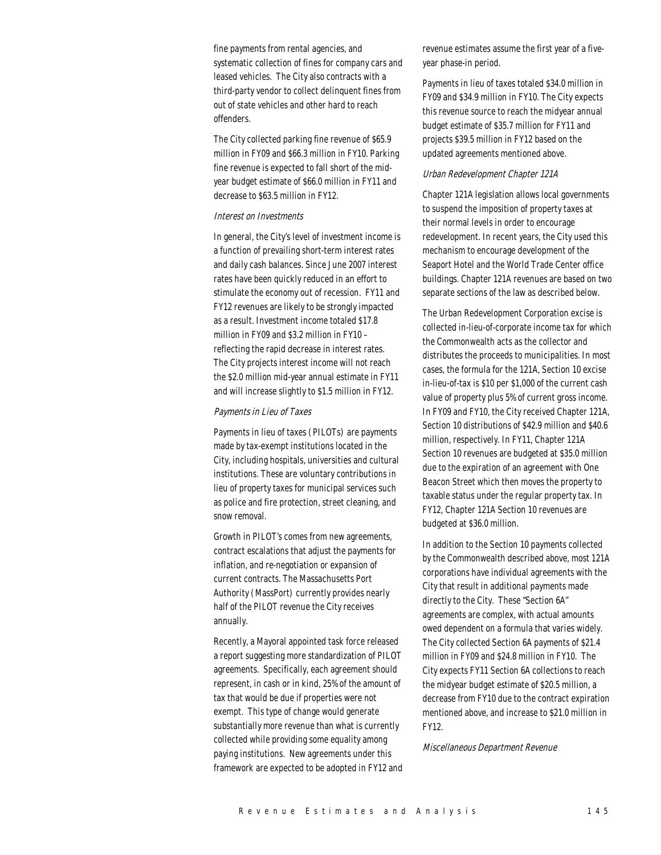fine payments from rental agencies, and systematic collection of fines for company cars and leased vehicles. The City also contracts with a third-party vendor to collect delinquent fines from out of state vehicles and other hard to reach offenders.

The City collected parking fine revenue of \$65.9 million in FY09 and \$66.3 million in FY10. Parking fine revenue is expected to fall short of the midyear budget estimate of \$66.0 million in FY11 and decrease to \$63.5 million in FY12.

#### Interest on Investments

In general, the City's level of investment income is a function of prevailing short-term interest rates and daily cash balances. Since June 2007 interest rates have been quickly reduced in an effort to stimulate the economy out of recession. FY11 and FY12 revenues are likely to be strongly impacted as a result. Investment income totaled \$17.8 million in FY09 and \$3.2 million in FY10 – reflecting the rapid decrease in interest rates. The City projects interest income will not reach the \$2.0 million mid-year annual estimate in FY11 and will increase slightly to \$1.5 million in FY12.

# Payments in Lieu of Taxes

Payments in lieu of taxes (PILOTs) are payments made by tax-exempt institutions located in the City, including hospitals, universities and cultural institutions. These are voluntary contributions in lieu of property taxes for municipal services such as police and fire protection, street cleaning, and snow removal.

Growth in PILOT's comes from new agreements, contract escalations that adjust the payments for inflation, and re-negotiation or expansion of current contracts. The Massachusetts Port Authority (MassPort) currently provides nearly half of the PILOT revenue the City receives annually.

Recently, a Mayoral appointed task force released a report suggesting more standardization of PILOT agreements. Specifically, each agreement should represent, in cash or in kind, 25% of the amount of tax that would be due if properties were not exempt. This type of change would generate substantially more revenue than what is currently collected while providing some equality among paying institutions. New agreements under this framework are expected to be adopted in FY12 and

revenue estimates assume the first year of a fiveyear phase-in period.

Payments in lieu of taxes totaled \$34.0 million in FY09 and \$34.9 million in FY10. The City expects this revenue source to reach the midyear annual budget estimate of \$35.7 million for FY11 and projects \$39.5 million in FY12 based on the updated agreements mentioned above.

# Urban Redevelopment Chapter 121A

Chapter 121A legislation allows local governments to suspend the imposition of property taxes at their normal levels in order to encourage redevelopment. In recent years, the City used this mechanism to encourage development of the Seaport Hotel and the World Trade Center office buildings. Chapter 121A revenues are based on two separate sections of the law as described below.

The Urban Redevelopment Corporation excise is collected in-lieu-of-corporate income tax for which the Commonwealth acts as the collector and distributes the proceeds to municipalities. In most cases, the formula for the 121A, Section 10 excise in-lieu-of-tax is \$10 per \$1,000 of the current cash value of property plus 5% of current gross income. In FY09 and FY10, the City received Chapter 121A, Section 10 distributions of \$42.9 million and \$40.6 million, respectively. In FY11, Chapter 121A Section 10 revenues are budgeted at \$35.0 million due to the expiration of an agreement with One Beacon Street which then moves the property to taxable status under the regular property tax. In FY12, Chapter 121A Section 10 revenues are budgeted at \$36.0 million.

In addition to the Section 10 payments collected by the Commonwealth described above, most 121A corporations have individual agreements with the City that result in additional payments made directly to the City. These "Section 6A" agreements are complex, with actual amounts owed dependent on a formula that varies widely. The City collected Section 6A payments of \$21.4 million in FY09 and \$24.8 million in FY10. The City expects FY11 Section 6A collections to reach the midyear budget estimate of \$20.5 million, a decrease from FY10 due to the contract expiration mentioned above, and increase to \$21.0 million in FY12.

Miscellaneous Department Revenue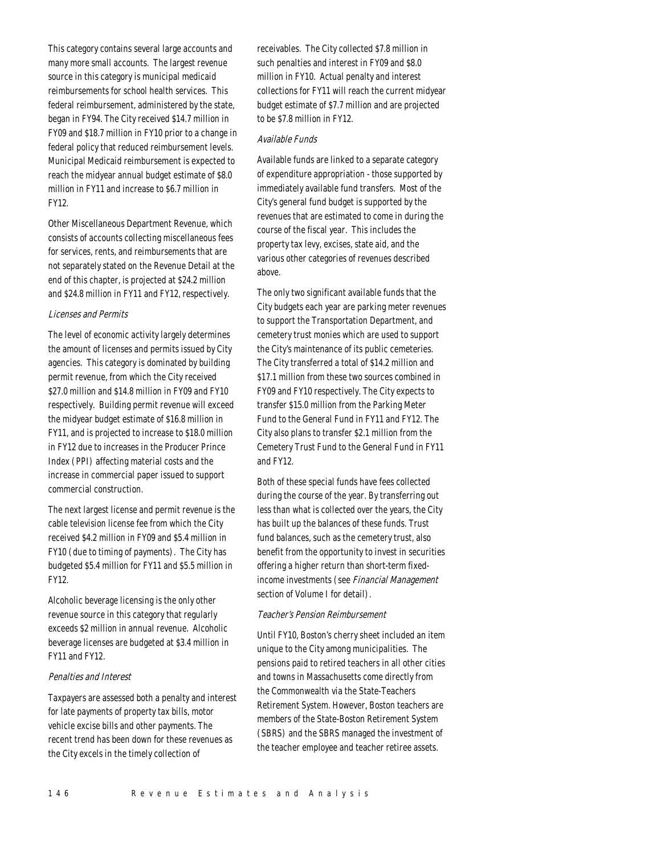This category contains several large accounts and many more small accounts. The largest revenue source in this category is municipal medicaid reimbursements for school health services. This federal reimbursement, administered by the state, began in FY94. The City received \$14.7 million in FY09 and \$18.7 million in FY10 prior to a change in federal policy that reduced reimbursement levels. Municipal Medicaid reimbursement is expected to reach the midyear annual budget estimate of \$8.0 million in FY11 and increase to \$6.7 million in FY12.

Other Miscellaneous Department Revenue, which consists of accounts collecting miscellaneous fees for services, rents, and reimbursements that are not separately stated on the Revenue Detail at the end of this chapter, is projected at \$24.2 million and \$24.8 million in FY11 and FY12, respectively.

# Licenses and Permits

The level of economic activity largely determines the amount of licenses and permits issued by City agencies. This category is dominated by building permit revenue, from which the City received \$27.0 million and \$14.8 million in FY09 and FY10 respectively. Building permit revenue will exceed the midyear budget estimate of \$16.8 million in FY11, and is projected to increase to \$18.0 million in FY12 due to increases in the Producer Prince Index (PPI) affecting material costs and the increase in commercial paper issued to support commercial construction.

The next largest license and permit revenue is the cable television license fee from which the City received \$4.2 million in FY09 and \$5.4 million in FY10 (due to timing of payments). The City has budgeted \$5.4 million for FY11 and \$5.5 million in FY12.

Alcoholic beverage licensing is the only other revenue source in this category that regularly exceeds \$2 million in annual revenue. Alcoholic beverage licenses are budgeted at \$3.4 million in FY11 and FY12.

# Penalties and Interest

Taxpayers are assessed both a penalty and interest for late payments of property tax bills, motor vehicle excise bills and other payments. The recent trend has been down for these revenues as the City excels in the timely collection of

receivables. The City collected \$7.8 million in such penalties and interest in FY09 and \$8.0 million in FY10. Actual penalty and interest collections for FY11 will reach the current midyear budget estimate of \$7.7 million and are projected to be \$7.8 million in FY12.

# Available Funds

Available funds are linked to a separate category of expenditure appropriation - those supported by immediately available fund transfers. Most of the City's general fund budget is supported by the revenues that are estimated to come in during the course of the fiscal year. This includes the property tax levy, excises, state aid, and the various other categories of revenues described above.

The only two significant available funds that the City budgets each year are parking meter revenues to support the Transportation Department, and cemetery trust monies which are used to support the City's maintenance of its public cemeteries. The City transferred a total of \$14.2 million and \$17.1 million from these two sources combined in FY09 and FY10 respectively. The City expects to transfer \$15.0 million from the Parking Meter Fund to the General Fund in FY11 and FY12. The City also plans to transfer \$2.1 million from the Cemetery Trust Fund to the General Fund in FY11 and FY12.

Both of these special funds have fees collected during the course of the year. By transferring out less than what is collected over the years, the City has built up the balances of these funds. Trust fund balances, such as the cemetery trust, also benefit from the opportunity to invest in securities offering a higher return than short-term fixedincome investments (see Financial Management section of Volume I for detail).

## Teacher's Pension Reimbursement

Until FY10, Boston's cherry sheet included an item unique to the City among municipalities. The pensions paid to retired teachers in all other cities and towns in Massachusetts come directly from the Commonwealth via the State-Teachers Retirement System. However, Boston teachers are members of the State-Boston Retirement System (SBRS) and the SBRS managed the investment of the teacher employee and teacher retiree assets.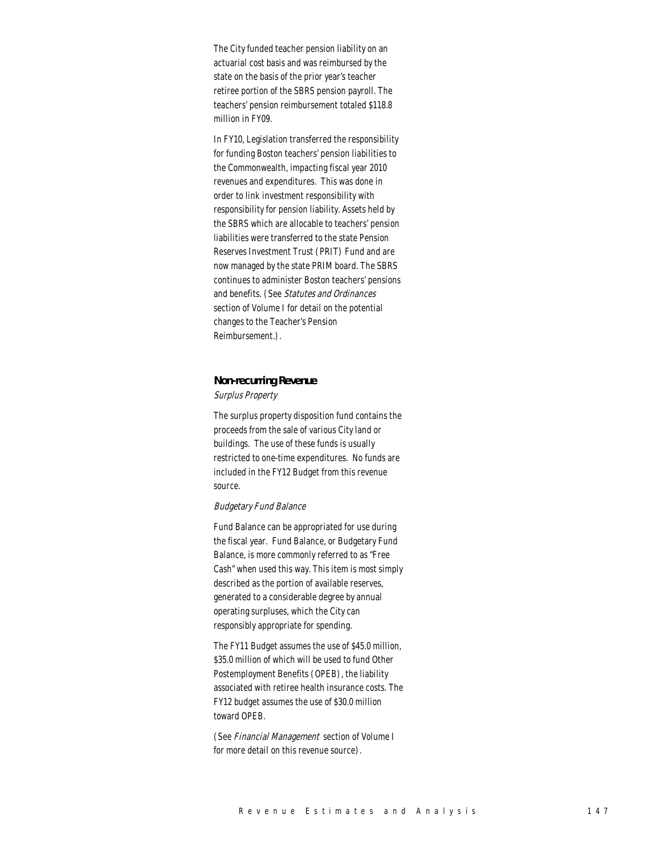The City funded teacher pension liability on an actuarial cost basis and was reimbursed by the state on the basis of the prior year's teacher retiree portion of the SBRS pension payroll. The teachers' pension reimbursement totaled \$118.8 million in FY09.

In FY10, Legislation transferred the responsibility for funding Boston teachers' pension liabilities to the Commonwealth, impacting fiscal year 2010 revenues and expenditures. This was done in order to link investment responsibility with responsibility for pension liability. Assets held by the SBRS which are allocable to teachers' pension liabilities were transferred to the state Pension Reserves Investment Trust (PRIT) Fund and are now managed by the state PRIM board. The SBRS continues to administer Boston teachers' pensions and benefits. (See Statutes and Ordinances section of Volume I for detail on the potential changes to the Teacher's Pension Reimbursement.).

# *Non-recurring Revenue*

#### Surplus Property

The surplus property disposition fund contains the proceeds from the sale of various City land or buildings. The use of these funds is usually restricted to one-time expenditures. No funds are included in the FY12 Budget from this revenue source.

### Budgetary Fund Balance

Fund Balance can be appropriated for use during the fiscal year. Fund Balance, or Budgetary Fund Balance, is more commonly referred to as "Free Cash" when used this way. This item is most simply described as the portion of available reserves, generated to a considerable degree by annual operating surpluses, which the City can responsibly appropriate for spending.

The FY11 Budget assumes the use of \$45.0 million, \$35.0 million of which will be used to fund Other Postemployment Benefits (OPEB), the liability associated with retiree health insurance costs. The FY12 budget assumes the use of \$30.0 million toward OPEB.

(See Financial Management section of Volume I for more detail on this revenue source).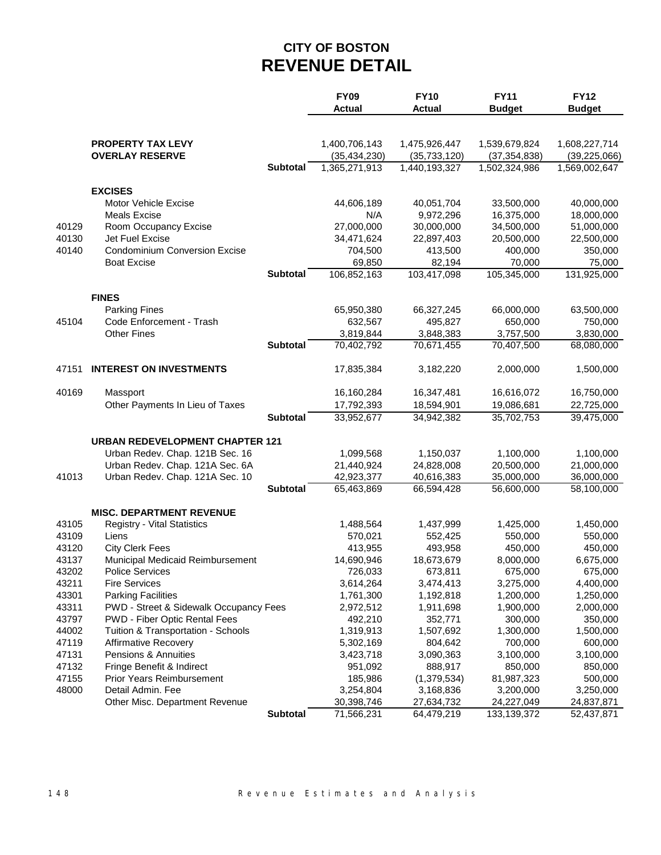# **CITY OF BOSTON REVENUE DETAIL**

|       |                                                                       |                 | <b>FY09</b>          | <b>FY10</b>          | <b>FY11</b>    | <b>FY12</b>          |
|-------|-----------------------------------------------------------------------|-----------------|----------------------|----------------------|----------------|----------------------|
|       |                                                                       |                 | <b>Actual</b>        | <b>Actual</b>        | <b>Budget</b>  | <b>Budget</b>        |
|       |                                                                       |                 |                      |                      |                |                      |
|       | <b>PROPERTY TAX LEVY</b>                                              |                 | 1,400,706,143        | 1,475,926,447        | 1,539,679,824  | 1,608,227,714        |
|       | <b>OVERLAY RESERVE</b>                                                |                 | (35, 434, 230)       | (35, 733, 120)       | (37, 354, 838) | (39, 225, 066)       |
|       |                                                                       | <b>Subtotal</b> | 1,365,271,913        | 1,440,193,327        | 1,502,324,986  | 1,569,002,647        |
|       |                                                                       |                 |                      |                      |                |                      |
|       | <b>EXCISES</b>                                                        |                 |                      |                      |                |                      |
|       | <b>Motor Vehicle Excise</b>                                           |                 | 44,606,189           | 40,051,704           | 33,500,000     | 40,000,000           |
|       | <b>Meals Excise</b>                                                   |                 | N/A                  | 9,972,296            | 16,375,000     | 18,000,000           |
| 40129 | Room Occupancy Excise                                                 |                 | 27,000,000           | 30,000,000           | 34,500,000     | 51,000,000           |
| 40130 | Jet Fuel Excise                                                       |                 | 34,471,624           | 22,897,403           | 20,500,000     | 22,500,000           |
| 40140 | <b>Condominium Conversion Excise</b>                                  |                 | 704,500              | 413,500              | 400,000        | 350,000              |
|       | <b>Boat Excise</b>                                                    |                 | 69,850               | 82,194               | 70,000         | 75,000               |
|       |                                                                       | <b>Subtotal</b> | 106,852,163          | 103,417,098          | 105,345,000    | 131,925,000          |
|       | <b>FINES</b>                                                          |                 |                      |                      |                |                      |
|       | <b>Parking Fines</b>                                                  |                 | 65,950,380           | 66,327,245           | 66,000,000     | 63,500,000           |
| 45104 | Code Enforcement - Trash                                              |                 | 632,567              | 495,827              | 650,000        | 750,000              |
|       | <b>Other Fines</b>                                                    |                 | 3,819,844            | 3,848,383            | 3,757,500      | 3,830,000            |
|       |                                                                       | <b>Subtotal</b> | 70,402,792           | 70,671,455           | 70,407,500     | 68,080,000           |
|       |                                                                       |                 |                      |                      |                |                      |
| 47151 | <b>INTEREST ON INVESTMENTS</b>                                        |                 | 17,835,384           | 3,182,220            | 2,000,000      | 1,500,000            |
|       |                                                                       |                 |                      |                      |                |                      |
| 40169 | Massport                                                              |                 | 16,160,284           | 16,347,481           | 16,616,072     | 16,750,000           |
|       | Other Payments In Lieu of Taxes                                       |                 | 17,792,393           | 18,594,901           | 19,086,681     | 22,725,000           |
|       |                                                                       | <b>Subtotal</b> | 33,952,677           | 34,942,382           | 35,702,753     | 39,475,000           |
|       | <b>URBAN REDEVELOPMENT CHAPTER 121</b>                                |                 |                      |                      |                |                      |
|       | Urban Redev. Chap. 121B Sec. 16                                       |                 | 1,099,568            | 1,150,037            | 1,100,000      | 1,100,000            |
|       | Urban Redev. Chap. 121A Sec. 6A                                       |                 | 21,440,924           | 24,828,008           | 20,500,000     | 21,000,000           |
| 41013 | Urban Redev. Chap. 121A Sec. 10                                       |                 | 42,923,377           | 40,616,383           | 35,000,000     | 36,000,000           |
|       |                                                                       | <b>Subtotal</b> | 65,463,869           | 66,594,428           | 56,600,000     | 58,100,000           |
|       |                                                                       |                 |                      |                      |                |                      |
| 43105 | <b>MISC. DEPARTMENT REVENUE</b><br><b>Registry - Vital Statistics</b> |                 |                      |                      | 1,425,000      |                      |
| 43109 | Liens                                                                 |                 | 1,488,564<br>570,021 | 1,437,999<br>552,425 | 550,000        | 1,450,000<br>550,000 |
| 43120 | <b>City Clerk Fees</b>                                                |                 | 413,955              | 493,958              | 450,000        | 450,000              |
| 43137 | Municipal Medicaid Reimbursement                                      |                 | 14,690,946           | 18,673,679           | 8,000,000      | 6,675,000            |
| 43202 | <b>Police Services</b>                                                |                 | 726,033              | 673,811              | 675,000        | 675,000              |
| 43211 | <b>Fire Services</b>                                                  |                 | 3,614,264            | 3,474,413            | 3,275,000      | 4,400,000            |
| 43301 | <b>Parking Facilities</b>                                             |                 | 1,761,300            | 1,192,818            | 1,200,000      | 1,250,000            |
| 43311 | PWD - Street & Sidewalk Occupancy Fees                                |                 | 2,972,512            | 1,911,698            | 1,900,000      | 2,000,000            |
| 43797 | PWD - Fiber Optic Rental Fees                                         |                 | 492,210              | 352,771              | 300,000        | 350,000              |
| 44002 | Tuition & Transportation - Schools                                    |                 | 1,319,913            | 1,507,692            | 1,300,000      | 1,500,000            |
| 47119 | <b>Affirmative Recovery</b>                                           |                 | 5,302,169            | 804,642              | 700,000        | 600,000              |
| 47131 | Pensions & Annuities                                                  |                 | 3,423,718            | 3,090,363            | 3,100,000      | 3,100,000            |
| 47132 | Fringe Benefit & Indirect                                             |                 | 951,092              | 888,917              | 850,000        | 850,000              |
| 47155 | <b>Prior Years Reimbursement</b>                                      |                 | 185,986              | (1, 379, 534)        | 81,987,323     | 500,000              |
| 48000 | Detail Admin. Fee                                                     |                 | 3,254,804            | 3,168,836            | 3,200,000      | 3,250,000            |
|       | Other Misc. Department Revenue                                        |                 | 30,398,746           | 27,634,732           | 24,227,049     | 24,837,871           |
|       |                                                                       | <b>Subtotal</b> | 71,566,231           | 64,479,219           | 133, 139, 372  | 52,437,871           |